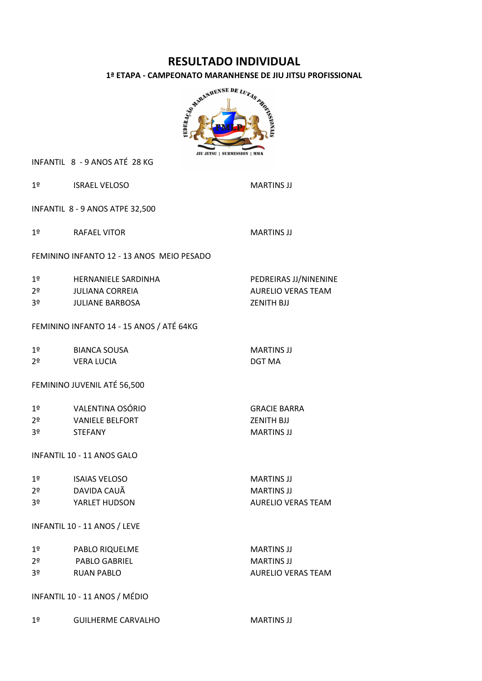# **RESULTADO INDIVIDUAL**



INFANTIL 8 - 9 ANOS ATÉ 28 KG

| 1 <sup>°</sup>                    | <b>ISRAEL VELOSO</b>                      | <b>MARTINS JJ</b>         |  |  |
|-----------------------------------|-------------------------------------------|---------------------------|--|--|
| INFANTIL 8 - 9 ANOS ATPE 32,500   |                                           |                           |  |  |
|                                   | 1º RAFAEL VITOR                           | <b>MARTINS JJ</b>         |  |  |
|                                   | FEMININO INFANTO 12 - 13 ANOS MEIO PESADO |                           |  |  |
| 1 <sup>°</sup>                    | HERNANIELE SARDINHA                       | PEDREIRAS JJ/NINENINE     |  |  |
| 2 <sup>o</sup>                    | JULIANA CORREIA                           | <b>AURELIO VERAS TEAM</b> |  |  |
| 3 <sup>o</sup>                    | JULIANE BARBOSA                           | ZENITH BJJ                |  |  |
|                                   | FEMININO INFANTO 14 - 15 ANOS / ATÉ 64KG  |                           |  |  |
|                                   | 1º BIANCA SOUSA                           | <b>MARTINS JJ</b>         |  |  |
| 2 <sup>o</sup>                    | <b>VERA LUCIA</b>                         | <b>DGT MA</b>             |  |  |
|                                   | FEMININO JUVENIL ATÉ 56,500               |                           |  |  |
|                                   | 1º VALENTINA OSÓRIO                       | <b>GRACIE BARRA</b>       |  |  |
| 2 <sup>o</sup>                    | <b>VANIELE BELFORT</b>                    | <b>ZENITH BJJ</b>         |  |  |
| 3º                                | STEFANY                                   | <b>MARTINS JJ</b>         |  |  |
| <b>INFANTIL 10 - 11 ANOS GALO</b> |                                           |                           |  |  |
| 1 <sup>2</sup>                    | ISAIAS VELOSO                             | <b>MARTINS JJ</b>         |  |  |
|                                   | 2º DAVIDA CAUÃ                            | <b>MARTINS JJ</b>         |  |  |
| 3º                                | YARLET HUDSON                             | <b>AURELIO VERAS TEAM</b> |  |  |
| INFANTIL 10 - 11 ANOS / LEVE      |                                           |                           |  |  |
| 1 <sup>°</sup>                    | PABLO RIQUELME                            | <b>MARTINS JJ</b>         |  |  |
| 2 <sup>o</sup>                    | PABLO GABRIEL                             | <b>MARTINS JJ</b>         |  |  |
| 3º                                | <b>RUAN PABLO</b>                         | <b>AURELIO VERAS TEAM</b> |  |  |
| INFANTIL 10 - 11 ANOS / MÉDIO     |                                           |                           |  |  |
| 1 <sup>°</sup>                    | <b>GUILHERME CARVALHO</b>                 | <b>MARTINS JJ</b>         |  |  |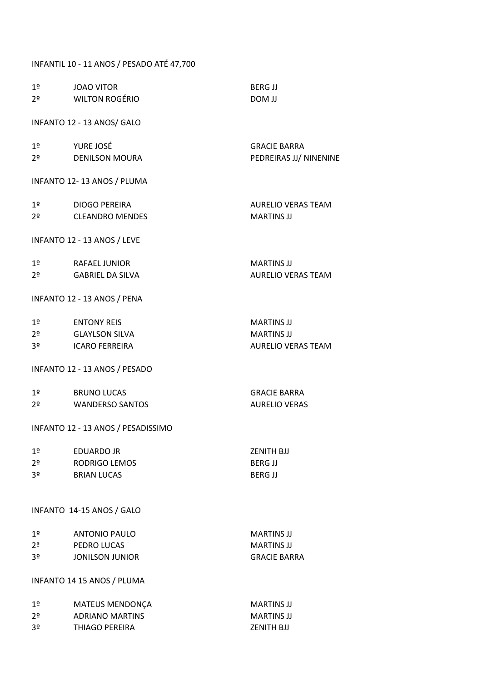# INFANTIL 10 - 11 ANOS / PESADO ATÉ 47,700

| 1 <sup>°</sup> | <b>JOAO VITOR</b>                  | <b>BERG JJ</b>            |
|----------------|------------------------------------|---------------------------|
| 2 <sup>o</sup> | WILTON ROGÉRIO                     | <b>LL MOD</b>             |
|                |                                    |                           |
|                | INFANTO 12 - 13 ANOS/ GALO         |                           |
| 1 <sup>°</sup> | YURE JOSÉ                          | <b>GRACIE BARRA</b>       |
| 2 <sup>o</sup> | DENILSON MOURA                     | PEDREIRAS JJ/ NINENINE    |
|                | INFANTO 12-13 ANOS / PLUMA         |                           |
| 1 <sup>o</sup> | <b>DIOGO PEREIRA</b>               | <b>AURELIO VERAS TEAM</b> |
| 2º             | <b>CLEANDRO MENDES</b>             | <b>MARTINS JJ</b>         |
|                | INFANTO 12 - 13 ANOS / LEVE        |                           |
| 1 <sup>°</sup> | RAFAFL JUNIOR                      | <b>MARTINS JJ</b>         |
| 2 <sup>o</sup> | GABRIEL DA SILVA                   | <b>AURELIO VERAS TEAM</b> |
|                | INFANTO 12 - 13 ANOS / PENA        |                           |
| 1 <sup>°</sup> | <b>ENTONY REIS</b>                 | <b>MARTINS JJ</b>         |
| 2º             | GLAYLSON SILVA                     | <b>MARTINS JJ</b>         |
| 3º             | <b>ICARO FERREIRA</b>              | <b>AURELIO VERAS TEAM</b> |
|                | INFANTO 12 - 13 ANOS / PESADO      |                           |
| 1 <sup>2</sup> | BRUNO LUCAS                        | <b>GRACIE BARRA</b>       |
| 2º             | <b>WANDERSO SANTOS</b>             | <b>AURELIO VERAS</b>      |
|                | INFANTO 12 - 13 ANOS / PESADISSIMO |                           |
| 1 <sup>°</sup> | <b>EDUARDO JR</b>                  | <b>ZENITH BJJ</b>         |
| 2 <sup>o</sup> | <b>RODRIGO LEMOS</b>               | <b>BERG JJ</b>            |
| 3 <sup>o</sup> | <b>BRIAN LUCAS</b>                 | <b>BERG JJ</b>            |
|                | INFANTO 14-15 ANOS / GALO          |                           |
| 1 <sup>°</sup> | <b>ANTONIO PAULO</b>               | <b>MARTINS JJ</b>         |
| 2 <sup>a</sup> | PEDRO LUCAS                        | <b>MARTINS JJ</b>         |
| 3 <sup>o</sup> | <b>JONILSON JUNIOR</b>             | <b>GRACIE BARRA</b>       |
|                | INFANTO 14 15 ANOS / PLUMA         |                           |
| 1 <sup>o</sup> | <b>MATEUS MENDONÇA</b>             | <b>MARTINS JJ</b>         |
| 2 <sup>o</sup> | <b>ADRIANO MARTINS</b>             | <b>MARTINS JJ</b>         |
| 3 <sup>o</sup> | THIAGO PEREIRA                     | <b>ZENITH BJJ</b>         |
|                |                                    |                           |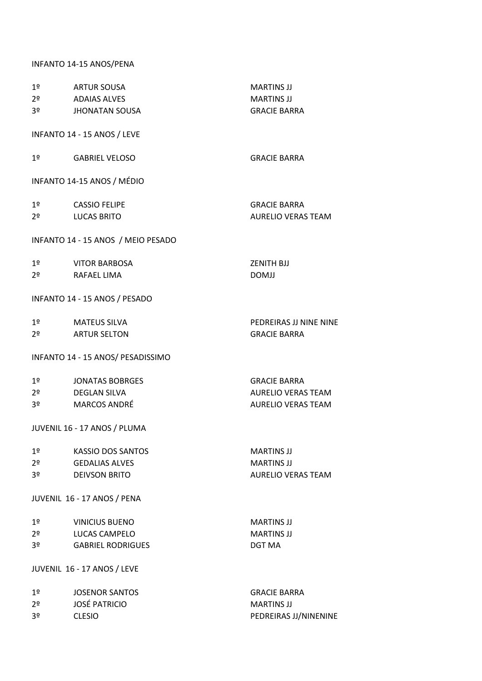## INFANTO 14-15 ANOS/PENA

| 1 <sup>°</sup><br>2º<br>3º                         | ARTUR SOUSA<br>ADAIAS ALVES<br><b>JHONATAN SOUSA</b>                                                     | <b>MARTINS JJ</b><br><b>MARTINS JJ</b><br><b>GRACIE BARRA</b>                 |
|----------------------------------------------------|----------------------------------------------------------------------------------------------------------|-------------------------------------------------------------------------------|
|                                                    | INFANTO 14 - 15 ANOS / LEVE                                                                              |                                                                               |
| 1 <sup>°</sup>                                     | <b>GABRIEL VELOSO</b>                                                                                    | <b>GRACIE BARRA</b>                                                           |
|                                                    | INFANTO 14-15 ANOS / MÉDIO                                                                               |                                                                               |
| 1 <sup>°</sup><br>2º                               | <b>CASSIO FELIPE</b><br><b>LUCAS BRITO</b>                                                               | <b>GRACIE BARRA</b><br><b>AURELIO VERAS TEAM</b>                              |
|                                                    | INFANTO 14 - 15 ANOS / MEIO PESADO                                                                       |                                                                               |
| 1 <sup>°</sup><br>2 <sup>o</sup>                   | <b>VITOR BARBOSA</b><br>RAFAEL LIMA                                                                      | <b>ZENITH BJJ</b><br><b>DOMJJ</b>                                             |
|                                                    | INFANTO 14 - 15 ANOS / PESADO                                                                            |                                                                               |
| 1 <sup>°</sup><br>2º                               | MATEUS SILVA<br><b>ARTUR SELTON</b>                                                                      | PEDREIRAS JJ NINE NINE<br><b>GRACIE BARRA</b>                                 |
|                                                    | INFANTO 14 - 15 ANOS/ PESADISSIMO                                                                        |                                                                               |
| 1 <sup>°</sup><br>2 <sup>o</sup><br>3º             | <b>JONATAS BOBRGES</b><br>DEGLAN SILVA<br><b>MARCOS ANDRÉ</b><br>JUVENIL 16 - 17 ANOS / PLUMA            | <b>GRACIE BARRA</b><br><b>AURELIO VERAS TEAM</b><br><b>AURELIO VERAS TEAM</b> |
|                                                    |                                                                                                          |                                                                               |
| 1 <sup>°</sup><br>2 <sup>o</sup><br>3º             | <b>KASSIO DOS SANTOS</b><br><b>GEDALIAS ALVES</b><br><b>DEIVSON BRITO</b>                                | <b>MARTINS JJ</b><br><b>MARTINS JJ</b><br><b>AURELIO VERAS TEAM</b>           |
|                                                    | JUVENIL 16 - 17 ANOS / PENA                                                                              |                                                                               |
| 1 <sup>°</sup><br>2 <sup>o</sup><br>3º             | <b>VINICIUS BUENO</b><br><b>LUCAS CAMPELO</b><br><b>GABRIEL RODRIGUES</b><br>JUVENIL 16 - 17 ANOS / LEVE | <b>MARTINS JJ</b><br><b>MARTINS JJ</b><br><b>DGT MA</b>                       |
|                                                    |                                                                                                          |                                                                               |
| 1 <sup>°</sup><br>2 <sup>o</sup><br>3 <sup>o</sup> | <b>JOSENOR SANTOS</b><br><b>JOSÉ PATRICIO</b><br><b>CLESIO</b>                                           | <b>GRACIE BARRA</b><br><b>MARTINS JJ</b><br>PEDREIRAS JJ/NINENINE             |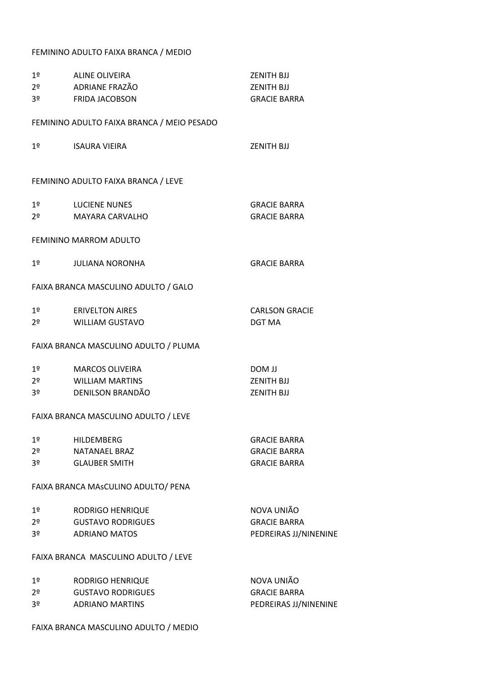#### FEMININO ADULTO FAIXA BRANCA / MEDIO

| 1 <sup>°</sup> | ALINE OLIVEIRA                             | <b>ZENITH BJJ</b>     |
|----------------|--------------------------------------------|-----------------------|
| 2 <sup>o</sup> | ADRIANE FRAZÃO                             | ZENITH BJJ            |
| 3 <sup>o</sup> | <b>FRIDA JACOBSON</b>                      | <b>GRACIE BARRA</b>   |
|                | FEMININO ADULTO FAIXA BRANCA / MEIO PESADO |                       |
| 1º             | ISAURA VIEIRA                              | <b>ZENITH BJJ</b>     |
|                | FEMININO ADULTO FAIXA BRANCA / LEVE        |                       |
| 1 <sup>°</sup> | LUCIENE NUNES                              | <b>GRACIE BARRA</b>   |
| 2º             | MAYARA CARVALHO                            | <b>GRACIE BARRA</b>   |
|                | FEMININO MARROM ADULTO                     |                       |
| 1º             | <b>JULIANA NORONHA</b>                     | <b>GRACIE BARRA</b>   |
|                | FAIXA BRANCA MASCULINO ADULTO / GALO       |                       |
| 1 <sup>9</sup> | <b>ERIVELTON AIRES</b>                     | <b>CARLSON GRACIE</b> |
| 2 <sup>o</sup> | WILLIAM GUSTAVO                            | <b>DGT MA</b>         |
|                | FAIXA BRANCA MASCULINO ADULTO / PLUMA      |                       |
| 1 <sup>°</sup> | <b>MARCOS OLIVEIRA</b>                     | <b>DOM JJ</b>         |
| 2 <sup>o</sup> | WILLIAM MARTINS                            | <b>ZENITH BJJ</b>     |
| 3 <sup>o</sup> | DENILSON BRANDÃO                           | <b>ZENITH BJJ</b>     |
|                | FAIXA BRANCA MASCULINO ADULTO / LEVE       |                       |
| 1 <sup>°</sup> | <b>HILDEMBERG</b>                          | <b>GRACIE BARRA</b>   |
| 2 <sup>o</sup> | NATANAEL BRAZ                              | <b>GRACIE BARRA</b>   |
| 3 <sup>o</sup> | <b>GLAUBER SMITH</b>                       | <b>GRACIE BARRA</b>   |
|                | FAIXA BRANCA MASCULINO ADULTO/ PENA        |                       |
| 1 <sup>°</sup> | <b>RODRIGO HENRIQUE</b>                    | NOVA UNIÃO            |
| 2 <sup>o</sup> | <b>GUSTAVO RODRIGUES</b>                   | <b>GRACIE BARRA</b>   |
| 3º             | <b>ADRIANO MATOS</b>                       | PEDREIRAS JJ/NINENINE |
|                | FAIXA BRANCA MASCULINO ADULTO / LEVE       |                       |
| 1 <sup>°</sup> | RODRIGO HENRIQUE                           | NOVA UNIÃO            |
| 2 <sup>o</sup> | <b>GUSTAVO RODRIGUES</b>                   | <b>GRACIE BARRA</b>   |
| 3 <sup>o</sup> | <b>ADRIANO MARTINS</b>                     | PEDREIRAS JJ/NINENINE |
|                |                                            |                       |

FAIXA BRANCA MASCULINO ADULTO / MEDIO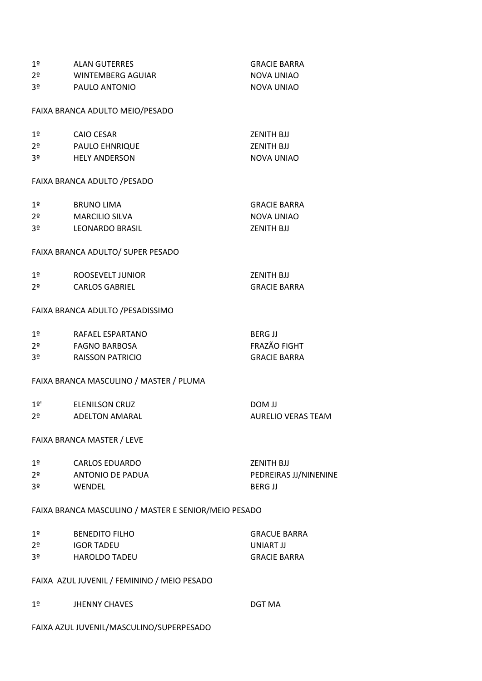| 1 <sup>°</sup> | <b>ALAN GUTERRES</b>                                 | <b>GRACIE BARRA</b>       |
|----------------|------------------------------------------------------|---------------------------|
| 2 <sup>o</sup> | WINTEMBERG AGUIAR                                    | NOVA UNIAO                |
| 3 <sup>o</sup> | PAULO ANTONIO                                        | <b>NOVA UNIAO</b>         |
|                | FAIXA BRANCA ADULTO MEIO/PESADO                      |                           |
| 1 <sup>°</sup> | <b>CAIO CESAR</b>                                    | <b>ZENITH BJJ</b>         |
| 2º             | <b>PAULO EHNRIQUE</b>                                | <b>ZENITH BJJ</b>         |
| 3º             | <b>HELY ANDERSON</b>                                 | <b>NOVA UNIAO</b>         |
|                | FAIXA BRANCA ADULTO / PESADO                         |                           |
| 1 <sup>°</sup> | <b>BRUNO LIMA</b>                                    | <b>GRACIE BARRA</b>       |
| 2 <sup>o</sup> | <b>MARCILIO SILVA</b>                                | <b>NOVA UNIAO</b>         |
| 3º             | LEONARDO BRASIL                                      | <b>ZENITH BJJ</b>         |
|                | FAIXA BRANCA ADULTO/ SUPER PESADO                    |                           |
| 1 <sup>°</sup> | ROOSEVELT JUNIOR                                     | <b>ZENITH BJJ</b>         |
| 2º             | <b>CARLOS GABRIEL</b>                                | <b>GRACIE BARRA</b>       |
|                | FAIXA BRANCA ADULTO / PESADISSIMO                    |                           |
| 1 <sup>°</sup> | RAFAEL ESPARTANO                                     | <b>BERG JJ</b>            |
| 2 <sup>o</sup> | FAGNO BARBOSA                                        | FRAZÃO FIGHT              |
| 3º             | <b>RAISSON PATRICIO</b>                              | <b>GRACIE BARRA</b>       |
|                | FAIXA BRANCA MASCULINO / MASTER / PLUMA              |                           |
| 1º'            | <b>ELENILSON CRUZ</b>                                | <b>LL MOQ</b>             |
| 2 <sup>o</sup> | <b>ADELTON AMARAL</b>                                | <b>AURELIO VERAS TEAM</b> |
|                | <b>FAIXA BRANCA MASTER / LEVE</b>                    |                           |
| 1 <sup>°</sup> | <b>CARLOS EDUARDO</b>                                | <b>ZENITH BJJ</b>         |
| 2 <sup>o</sup> | ANTONIO DE PADUA                                     | PEDREIRAS JJ/NINENINE     |
| 3º             | WENDEL                                               | <b>BERG JJ</b>            |
|                | FAIXA BRANCA MASCULINO / MASTER E SENIOR/MEIO PESADO |                           |
| 1 <sup>°</sup> | <b>BENEDITO FILHO</b>                                | <b>GRACUE BARRA</b>       |
| 2 <sup>o</sup> | IGOR TADEU                                           | <b>UNIART JJ</b>          |
| 3º             | <b>HAROLDO TADEU</b>                                 | <b>GRACIE BARRA</b>       |
|                | FAIXA AZUL JUVENIL / FEMININO / MEIO PESADO          |                           |
| 1º             | <b>JHENNY CHAVES</b>                                 | DGT MA                    |
|                | FAIXA AZUL JUVENIL/MASCULINO/SUPERPESADO             |                           |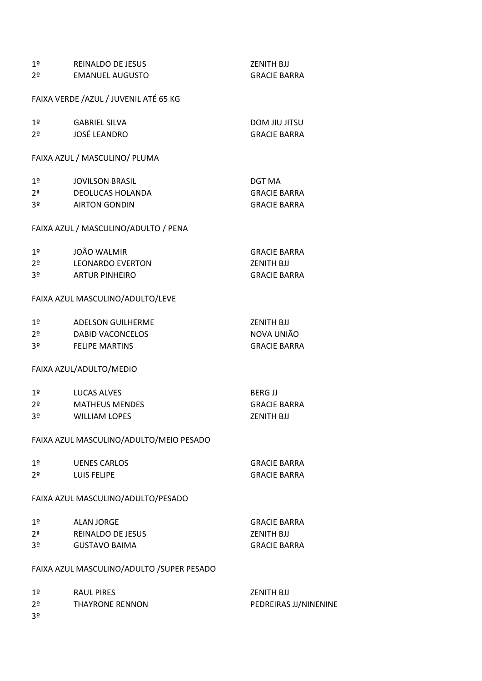| 1 <sup>°</sup>    | <b>REINALDO DE JESUS</b>                   | <b>ZENITH BJJ</b>     |
|-------------------|--------------------------------------------|-----------------------|
| 2 <sup>o</sup>    | <b>EMANUEL AUGUSTO</b>                     | <b>GRACIE BARRA</b>   |
|                   | FAIXA VERDE /AZUL / JUVENIL ATÉ 65 KG      |                       |
|                   |                                            |                       |
| 1 <sup>°</sup>    | <b>GABRIEL SILVA</b>                       | <b>DOM JIU JITSU</b>  |
| 2 <sup>o</sup>    | JOSÉ LEANDRO                               | <b>GRACIE BARRA</b>   |
|                   |                                            |                       |
|                   | FAIXA AZUL / MASCULINO/ PLUMA              |                       |
| 1 <sup>o</sup>    | <b>JOVILSON BRASIL</b>                     | DGT MA                |
| $2^{\frac{a}{2}}$ | <b>DEOLUCAS HOLANDA</b>                    | <b>GRACIE BARRA</b>   |
| 3 <sup>o</sup>    | <b>AIRTON GONDIN</b>                       | <b>GRACIE BARRA</b>   |
|                   | FAIXA AZUL / MASCULINO/ADULTO / PENA       |                       |
|                   |                                            |                       |
| 1 <sup>°</sup>    | JOÃO WALMIR                                | <b>GRACIE BARRA</b>   |
| 2º                | <b>LEONARDO EVERTON</b>                    | <b>ZENITH BJJ</b>     |
| 3 <sup>o</sup>    | <b>ARTUR PINHEIRO</b>                      | <b>GRACIE BARRA</b>   |
|                   | FAIXA AZUL MASCULINO/ADULTO/LEVE           |                       |
| 1 <sup>°</sup>    | <b>ADELSON GUILHERME</b>                   | <b>ZENITH BJJ</b>     |
| 2 <sup>o</sup>    | <b>DABID VACONCELOS</b>                    | NOVA UNIÃO            |
| 3º                | <b>FELIPE MARTINS</b>                      | <b>GRACIE BARRA</b>   |
|                   | FAIXA AZUL/ADULTO/MEDIO                    |                       |
|                   |                                            |                       |
| 1 <sup>o</sup>    | LUCAS ALVES                                | <b>BERG JJ</b>        |
| 2º                | <b>MATHEUS MENDES</b>                      | <b>GRACIE BARRA</b>   |
| 3 <sup>o</sup>    | <b>WILLIAM LOPES</b>                       | <b>ZENITH BJJ</b>     |
|                   | FAIXA AZUL MASCULINO/ADULTO/MEIO PESADO    |                       |
| 1 <sup>°</sup>    | <b>UENES CARLOS</b>                        | <b>GRACIE BARRA</b>   |
| 2º                | LUIS FELIPE                                | <b>GRACIE BARRA</b>   |
|                   |                                            |                       |
|                   | FAIXA AZUL MASCULINO/ADULTO/PESADO         |                       |
| 1 <sup>°</sup>    | <b>ALAN JORGE</b>                          | <b>GRACIE BARRA</b>   |
| 2 <sup>a</sup>    | REINALDO DE JESUS                          | <b>ZENITH BJJ</b>     |
| 3º                | <b>GUSTAVO BAIMA</b>                       | <b>GRACIE BARRA</b>   |
|                   | FAIXA AZUL MASCULINO/ADULTO / SUPER PESADO |                       |
| 1 <sup>°</sup>    | <b>RAUL PIRES</b>                          | <b>ZENITH BJJ</b>     |
| 2º                | <b>THAYRONE RENNON</b>                     | PEDREIRAS JJ/NINENINE |
| 3 <sup>o</sup>    |                                            |                       |
|                   |                                            |                       |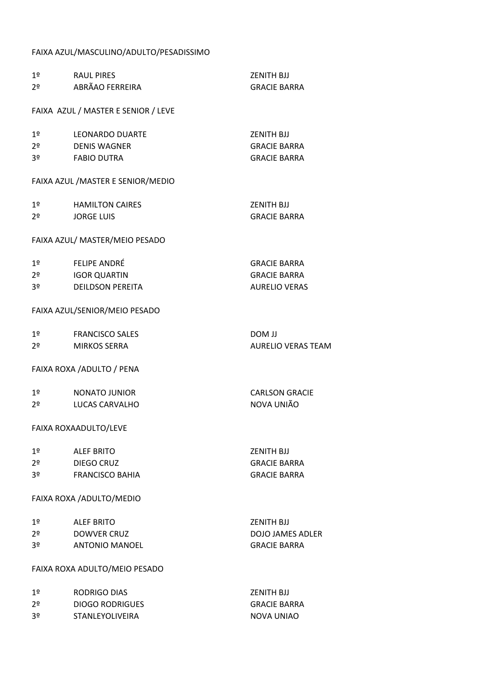#### FAIXA AZUL/MASCULINO/ADULTO/PESADISSIMO

| 1 <sup>o</sup> | <b>RAUL PIRES</b>                   | <b>ZENITH BJJ</b>         |
|----------------|-------------------------------------|---------------------------|
| 2 <sup>o</sup> | ABRÃAO FERREIRA                     | <b>GRACIE BARRA</b>       |
|                | FAIXA AZUL / MASTER E SENIOR / LEVE |                           |
|                |                                     |                           |
| 1 <sup>o</sup> | <b>LEONARDO DUARTE</b>              | ZENITH BJJ                |
| 2 <sup>o</sup> | <b>DENIS WAGNER</b>                 | <b>GRACIE BARRA</b>       |
| 3 <sup>o</sup> | <b>FABIO DUTRA</b>                  | <b>GRACIE BARRA</b>       |
|                | FAIXA AZUL / MASTER E SENIOR/MEDIO  |                           |
| 1 <sup>°</sup> | <b>HAMILTON CAIRES</b>              | <b>ZENITH BJJ</b>         |
| 2 <sup>o</sup> | <b>JORGE LUIS</b>                   | <b>GRACIE BARRA</b>       |
|                | FAIXA AZUL/ MASTER/MEIO PESADO      |                           |
| 1 <sup>°</sup> | FELIPE ANDRÉ                        | <b>GRACIE BARRA</b>       |
| 2 <sup>o</sup> | <b>IGOR QUARTIN</b>                 | <b>GRACIE BARRA</b>       |
| 3 <sup>o</sup> | <b>DEILDSON PEREITA</b>             | <b>AURELIO VERAS</b>      |
|                | FAIXA AZUL/SENIOR/MEIO PESADO       |                           |
| 1 <sup>°</sup> | <b>FRANCISCO SALES</b>              | <b>LL MOD</b>             |
| 2 <sup>o</sup> | <b>MIRKOS SERRA</b>                 | <b>AURELIO VERAS TEAM</b> |
|                | FAIXA ROXA / ADULTO / PENA          |                           |
| 1 <sup>°</sup> | <b>NONATO JUNIOR</b>                | <b>CARLSON GRACIE</b>     |
| 2 <sup>o</sup> | LUCAS CARVALHO                      | NOVA UNIÃO                |
|                | FAIXA ROXAADULTO/LEVE               |                           |
| 1 <sup>°</sup> | <b>ALEF BRITO</b>                   | <b>ZENITH BJJ</b>         |
| 2 <sup>o</sup> | DIEGO CRUZ                          | <b>GRACIE BARRA</b>       |
| 3 <sup>o</sup> | <b>FRANCISCO BAHIA</b>              | <b>GRACIE BARRA</b>       |
|                | FAIXA ROXA / ADULTO/MEDIO           |                           |
| 1 <sup>o</sup> | <b>ALEF BRITO</b>                   | <b>ZENITH BJJ</b>         |
| 2 <sup>o</sup> | DOWVER CRUZ                         | <b>DOJO JAMES ADLER</b>   |
| 3 <sup>o</sup> | <b>ANTONIO MANOEL</b>               | <b>GRACIE BARRA</b>       |
|                | FAIXA ROXA ADULTO/MEIO PESADO       |                           |
| 1 <sup>°</sup> | RODRIGO DIAS                        | <b>ZENITH BJJ</b>         |
| 2 <sup>o</sup> | <b>DIOGO RODRIGUES</b>              | <b>GRACIE BARRA</b>       |
| 3 <sup>o</sup> | STANLEYOLIVEIRA                     | <b>NOVA UNIAO</b>         |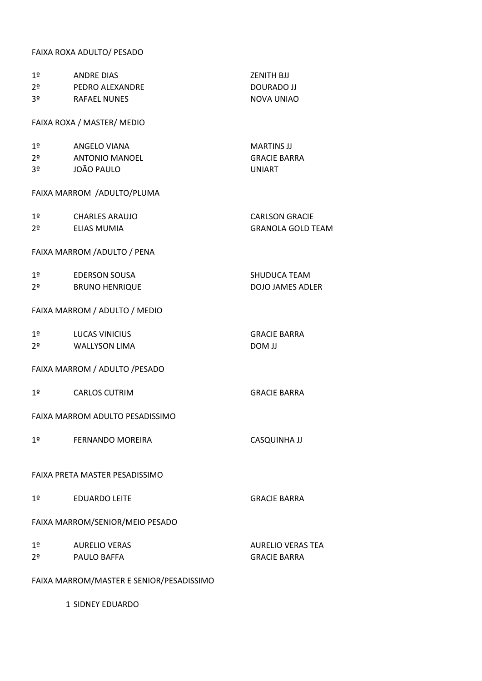#### FAIXA ROXA ADULTO/ PESADO

| 1 <sup>°</sup>                           | <b>ANDRE DIAS</b>               | <b>ZENITH BJJ</b>        |  |
|------------------------------------------|---------------------------------|--------------------------|--|
| 2 <sup>o</sup>                           | PEDRO ALEXANDRE                 | <b>DOURADO JJ</b>        |  |
| 3 <sup>o</sup>                           | <b>RAFAEL NUNES</b>             | <b>NOVA UNIAO</b>        |  |
|                                          | FAIXA ROXA / MASTER/ MEDIO      |                          |  |
| 1 <sup>°</sup>                           | ANGELO VIANA                    | <b>MARTINS JJ</b>        |  |
| 2 <sup>o</sup>                           | <b>ANTONIO MANOEL</b>           | <b>GRACIE BARRA</b>      |  |
| 3º                                       | JOÃO PAULO                      | <b>UNIART</b>            |  |
|                                          | FAIXA MARROM / ADULTO/PLUMA     |                          |  |
| 1 <sup>°</sup>                           | CHARLES ARAUJO                  | <b>CARLSON GRACIE</b>    |  |
| $2^{\circ}$                              | ELIAS MUMIA                     | <b>GRANOLA GOLD TEAM</b> |  |
|                                          | FAIXA MARROM / ADULTO / PENA    |                          |  |
| 1 <sup>°</sup>                           | EDERSON SOUSA                   | <b>SHUDUCA TEAM</b>      |  |
| 2º                                       | <b>BRUNO HENRIQUE</b>           | <b>DOJO JAMES ADLER</b>  |  |
|                                          | FAIXA MARROM / ADULTO / MEDIO   |                          |  |
| 1 <sup>°</sup>                           | LUCAS VINICIUS                  | <b>GRACIE BARRA</b>      |  |
| $2^{\circ}$                              | WALLYSON LIMA                   | <b>LL MOD</b>            |  |
|                                          | FAIXA MARROM / ADULTO / PESADO  |                          |  |
| 1 <sup>°</sup>                           | <b>CARLOS CUTRIM</b>            | <b>GRACIE BARRA</b>      |  |
|                                          | FAIXA MARROM ADULTO PESADISSIMO |                          |  |
| 1 <sup>°</sup>                           | <b>FERNANDO MOREIRA</b>         | <b>CASQUINHA JJ</b>      |  |
| FAIXA PRETA MASTER PESADISSIMO           |                                 |                          |  |
| 1 <sup>°</sup>                           | <b>EDUARDO LEITE</b>            | <b>GRACIE BARRA</b>      |  |
| FAIXA MARROM/SENIOR/MEIO PESADO          |                                 |                          |  |
| 1 <sup>°</sup>                           | <b>AURELIO VERAS</b>            | <b>AURELIO VERAS TEA</b> |  |
| 2º                                       | <b>PAULO BAFFA</b>              | <b>GRACIE BARRA</b>      |  |
| FAIXA MARROM/MASTER E SENIOR/PESADISSIMO |                                 |                          |  |
|                                          |                                 |                          |  |

1 SIDNEY EDUARDO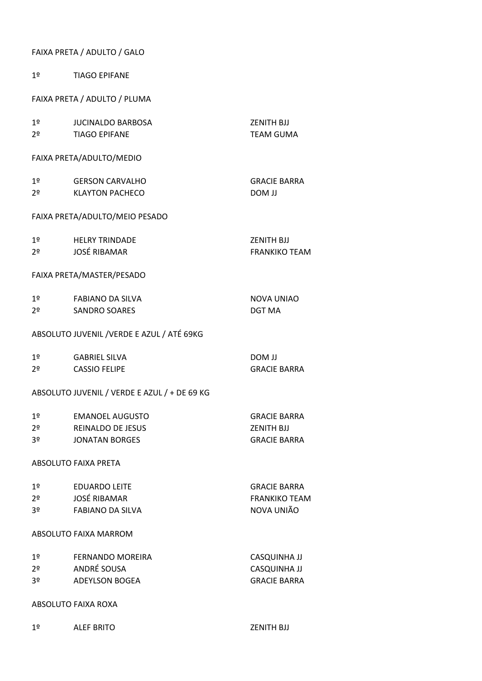### FAIXA PRETA / ADULTO / GALO

| 1 <sup>°</sup>                               | <b>TIAGO EPIFANE</b>                       |                      |  |
|----------------------------------------------|--------------------------------------------|----------------------|--|
|                                              | FAIXA PRETA / ADULTO / PLUMA               |                      |  |
| 1 <sup>°</sup>                               | <b>JUCINALDO BARBOSA</b>                   | <b>ZENITH BJJ</b>    |  |
| 2º                                           | <b>TIAGO EPIFANE</b>                       | <b>TEAM GUMA</b>     |  |
|                                              |                                            |                      |  |
|                                              | FAIXA PRETA/ADULTO/MEDIO                   |                      |  |
| 1 <sup>°</sup>                               | <b>GERSON CARVALHO</b>                     | <b>GRACIE BARRA</b>  |  |
| 2 <sup>o</sup>                               | <b>KLAYTON PACHECO</b>                     | <b>LL MOD</b>        |  |
|                                              | FAIXA PRETA/ADULTO/MEIO PESADO             |                      |  |
| 1 <sup>°</sup>                               | <b>HELRY TRINDADE</b>                      | <b>ZENITH BJJ</b>    |  |
| 2 <sup>0</sup>                               | <b>JOSÉ RIBAMAR</b>                        | <b>FRANKIKO TEAM</b> |  |
|                                              |                                            |                      |  |
|                                              | FAIXA PRETA/MASTER/PESADO                  |                      |  |
| 1 <sup>°</sup>                               | FABIANO DA SILVA                           | NOVA UNIAO           |  |
| 2 <sup>o</sup>                               | <b>SANDRO SOARES</b>                       | <b>DGT MA</b>        |  |
|                                              |                                            |                      |  |
|                                              | ABSOLUTO JUVENIL / VERDE E AZUL / ATÉ 69KG |                      |  |
| 1 <sup>°</sup>                               | <b>GABRIEL SILVA</b>                       | <b>LL MOD</b>        |  |
| 2 <sup>o</sup>                               | <b>CASSIO FELIPE</b>                       | <b>GRACIE BARRA</b>  |  |
| ABSOLUTO JUVENIL / VERDE E AZUL / + DE 69 KG |                                            |                      |  |
| 1º                                           | <b>EMANOEL AUGUSTO</b>                     | <b>GRACIE BARRA</b>  |  |
| 2 <sup>o</sup>                               | <b>REINALDO DE JESUS</b>                   | <b>ZENITH BJJ</b>    |  |
| 3 <sup>o</sup>                               | <b>JONATAN BORGES</b>                      | <b>GRACIE BARRA</b>  |  |
| <b>ABSOLUTO FAIXA PRETA</b>                  |                                            |                      |  |
| 1 <sup>°</sup>                               | <b>EDUARDO LEITE</b>                       | <b>GRACIE BARRA</b>  |  |
| 2 <sup>o</sup>                               | <b>JOSÉ RIBAMAR</b>                        | <b>FRANKIKO TEAM</b> |  |
| 3 <sup>o</sup>                               | <b>FABIANO DA SILVA</b>                    | NOVA UNIÃO           |  |
|                                              |                                            |                      |  |
|                                              | ABSOLUTO FAIXA MARROM                      |                      |  |
| 1 <sup>°</sup>                               | FERNANDO MOREIRA                           | <b>CASQUINHA JJ</b>  |  |
| 2 <sup>o</sup>                               | ANDRÉ SOUSA                                | <b>CASQUINHA JJ</b>  |  |
| 3 <sup>o</sup>                               | <b>ADEYLSON BOGEA</b>                      | <b>GRACIE BARRA</b>  |  |
|                                              |                                            |                      |  |
| ABSOLUTO FAIXA ROXA                          |                                            |                      |  |
| 1 <sup>°</sup>                               | <b>ALEF BRITO</b>                          | <b>ZENITH BJJ</b>    |  |